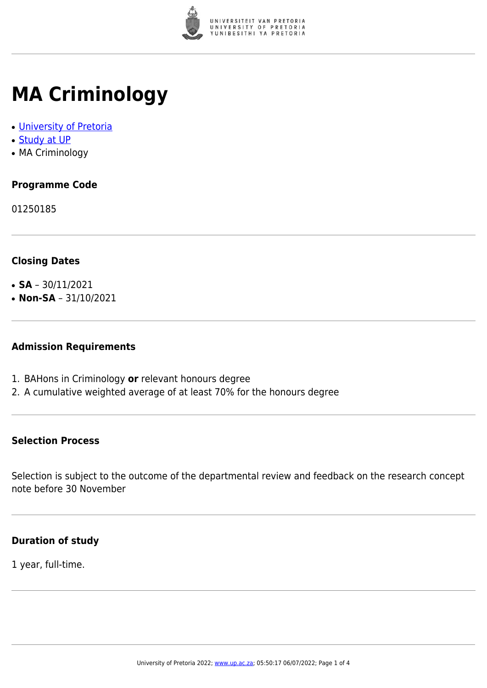

# **MA Criminology**

- [University of Pretoria](https://www.up.ac.za/home)
- [Study at UP](https://www.up.ac.za/programmes)
- MA Criminology

## **Programme Code**

01250185

## **Closing Dates**

- **SA**  $30/11/2021$
- $\cdot$  **Non-SA** 31/10/2021

#### **Admission Requirements**

- 1. BAHons in Criminology **or** relevant honours degree
- 2. A cumulative weighted average of at least 70% for the honours degree

#### **Selection Process**

Selection is subject to the outcome of the departmental review and feedback on the research concept note before 30 November

#### **Duration of study**

1 year, full-time.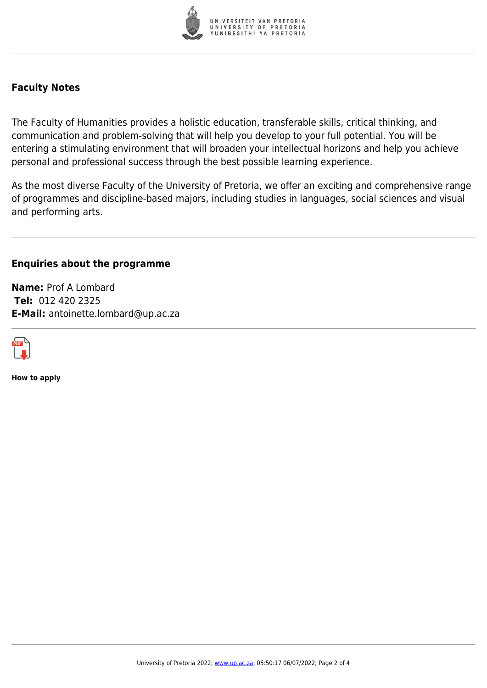

#### **Faculty Notes**

The Faculty of Humanities provides a holistic education, transferable skills, critical thinking, and communication and problem-solving that will help you develop to your full potential. You will be entering a stimulating environment that will broaden your intellectual horizons and help you achieve personal and professional success through the best possible learning experience.

As the most diverse Faculty of the University of Pretoria, we offer an exciting and comprehensive range of programmes and discipline-based majors, including studies in languages, social sciences and visual and performing arts.

#### **Enquiries about the programme**

**Name:** Prof A Lombard **Tel:** 012 420 2325 **E-Mail:** antoinette.lombard@up.ac.za



**How to apply**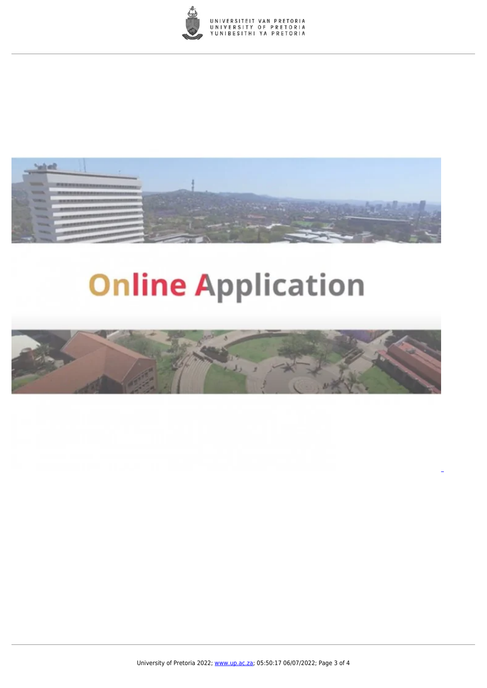



# **Online Application**